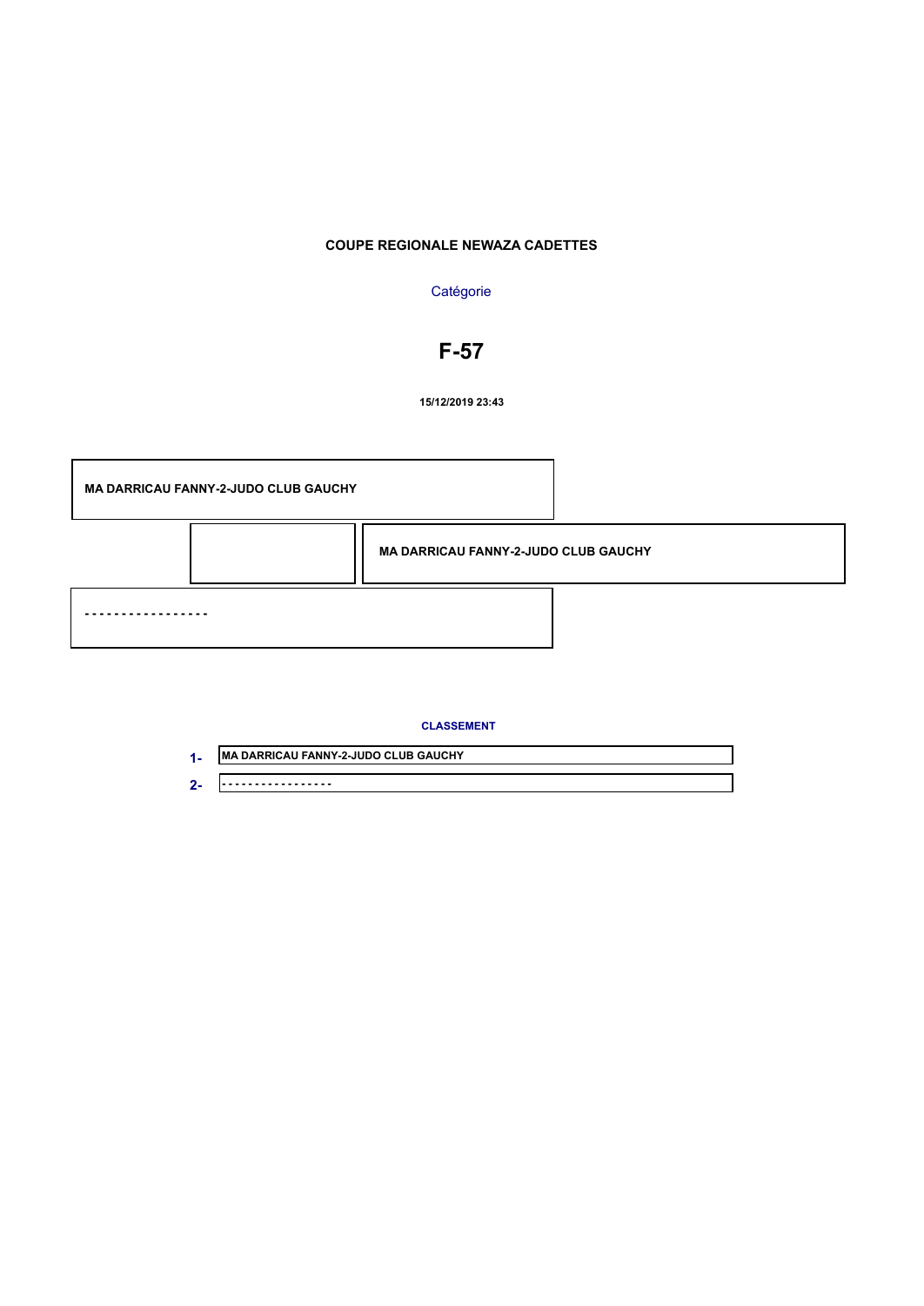## **COUPE REGIONALE NEWAZA CADETTES**

#### **Catégorie**

## **F-57**

**15/12/2019 23:43**

**MA DARRICAU FANNY-2-JUDO CLUB GAUCHY**

**- - - - - - - - - - - - - - - - - MA DARRICAU FANNY-2-JUDO CLUB GAUCHY**

#### **CLASSEMENT**

**MA DARRICAU FANNY-2-JUDO CLUB GAUCHY - - - - - - - - - - - - - - - - - 1- 2-**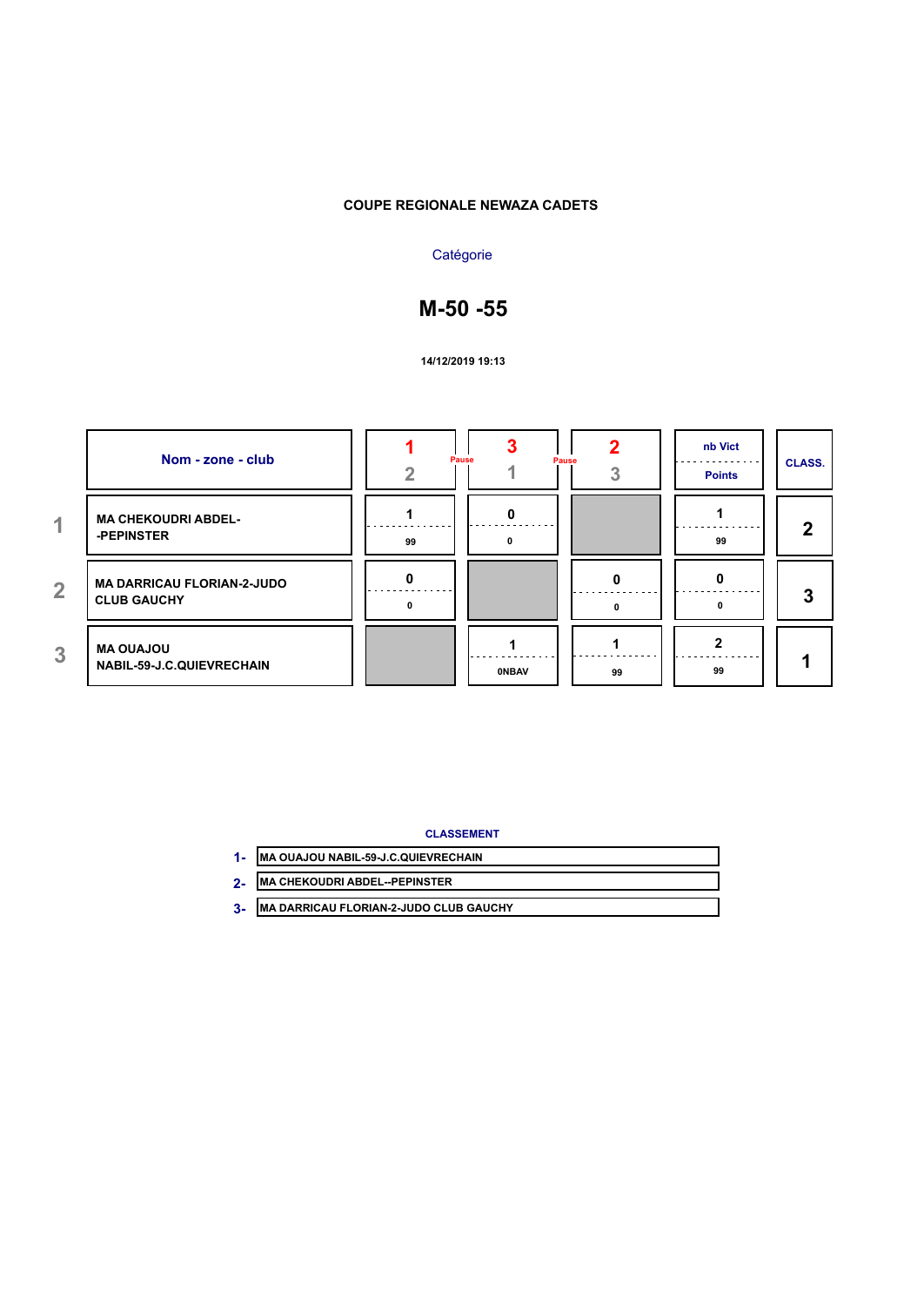#### **COUPE REGIONALE NEWAZA CADETS**

## **Catégorie**

# **M-50 -55**

**14/12/2019 19:13**

|                | Nom - zone - club                                       | Pause | Pause        |              | nb Vict<br><b>Points</b> | <b>CLASS.</b> |
|----------------|---------------------------------------------------------|-------|--------------|--------------|--------------------------|---------------|
| 4.             | <b>MA CHEKOUDRI ABDEL-</b><br>-PEPINSTER                | 99    | n            |              | 99                       | 2             |
| $\overline{2}$ | <b>MA DARRICAU FLORIAN-2-JUDO</b><br><b>CLUB GAUCHY</b> | n     |              | <sup>0</sup> |                          | 3             |
| 3              | <b>MA OUAJOU</b><br><b>NABIL-59-J.C.QUIEVRECHAIN</b>    |       | <b>ONBAV</b> | 99           | 99                       |               |

**CLASSEMENT**

| MA OUAJOU NABIL-59-J.C.QUIEVRECHAIN |  |  |  |  |
|-------------------------------------|--|--|--|--|
|                                     |  |  |  |  |
| $\frac{1}{2}$                       |  |  |  |  |

- **MA CHEKOUDRI ABDEL--PEPINSTER 2-**
- **MA DARRICAU FLORIAN-2-JUDO CLUB GAUCHY 3-**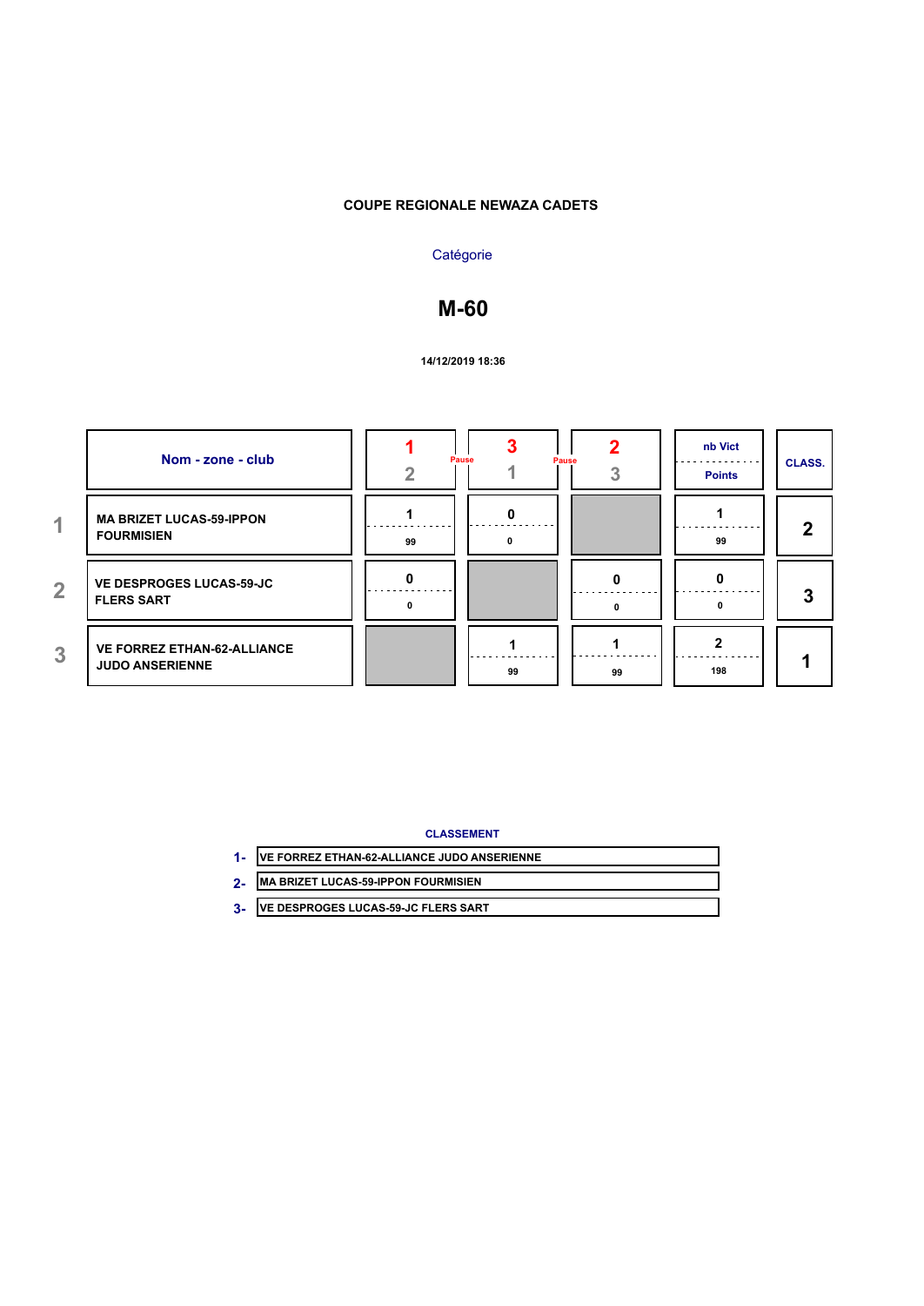## **COUPE REGIONALE NEWAZA CADETS**

## **Catégorie**

## **M-60**

#### **14/12/2019 18:36**

|                | Nom - zone - club                                            | Pause |    | Pause | nb Vict<br><b>Points</b> | <b>CLASS.</b> |
|----------------|--------------------------------------------------------------|-------|----|-------|--------------------------|---------------|
| 4.             | <b>MA BRIZET LUCAS-59-IPPON</b><br><b>FOURMISIEN</b>         | 99    |    |       | 99                       | 2             |
| $\overline{2}$ | <b>VE DESPROGES LUCAS-59-JC</b><br><b>FLERS SART</b>         |       |    |       |                          | 3             |
| 3              | <b>VE FORREZ ETHAN-62-ALLIANCE</b><br><b>JUDO ANSERIENNE</b> |       | 99 | 99    | 198                      |               |

#### **CLASSEMENT**

| 1- VE FORREZ ETHAN-62-ALLIANCE JUDO ANSERIENNE |  |  |  |
|------------------------------------------------|--|--|--|
| <b>MA BRIZET LUCAS-59-IPPON FOURMISIEN</b>     |  |  |  |
| VE DESPROGES LUCAS-59-JC FLERS SART            |  |  |  |